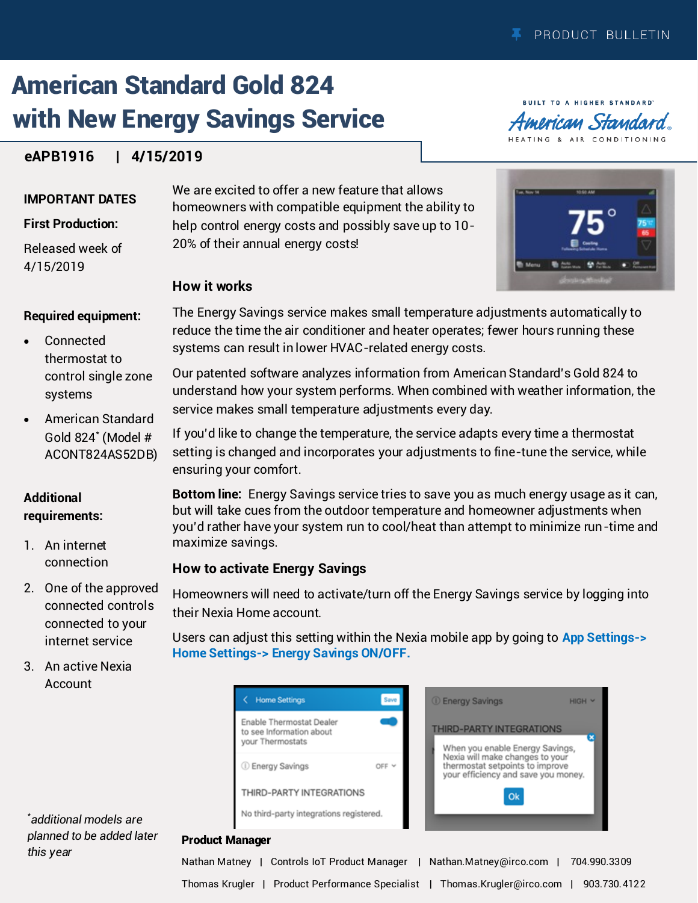**BUILT TO A HIGHER STANDARD** American Standard HEATING & AIR CONDITIONING

# American Standard Gold 824 with New Energy Savings Service

# **eAPB1916 | 4/15/2019**

#### **IMPORTANT DATES**

#### **First Production:**

Released week of 4/15/2019

**Required equipment:** 

- Connected thermostat to control single zone systems
- American Standard Gold 824\* (Model # ACONT824AS52DB)

### **Additional requirements:**

- 1. An internet connection
- 2. One of the approved connected controls connected to your internet service
- 3. An active Nexia Account

We are excited to offer a new feature that allows homeowners with compatible equipment the ability to help control energy costs and possibly save up to 10- 20% of their annual energy costs!



### **How it works**

The Energy Savings service makes small temperature adjustments automatically to reduce the time the air conditioner and heater operates; fewer hours running these systems can result in lower HVAC-related energy costs.

Our patented software analyzes information from American Standard's Gold 824 to understand how your system performs. When combined with weather information, the service makes small temperature adjustments every day.

If you'd like to change the temperature, the service adapts every time a thermostat setting is changed and incorporates your adjustments to fine-tune the service, while ensuring your comfort.

**Bottom line:** Energy Savings service tries to save you as much energy usage as it can, but will take cues from the outdoor temperature and homeowner adjustments when you'd rather have your system run to cool/heat than attempt to minimize run-time and maximize savings.

## **How to activate Energy Savings**

Homeowners will need to activate/turn off the Energy Savings service by logging into their Nexia Home account.

Users can adjust this setting within the Nexia mobile app by going to **App Settings-> Home Settings-> Energy Savings ON/OFF.** 





#### Product Manager

\* *additional models are planned to be added later this year* 

Nathan Matney | Controls IoT Product Manager | Nathan.Matney@irco.com | 704.990.3309 Thomas Krugler | Product Performance Specialist | Thomas.Krugler@irco.com | 903.730.4122